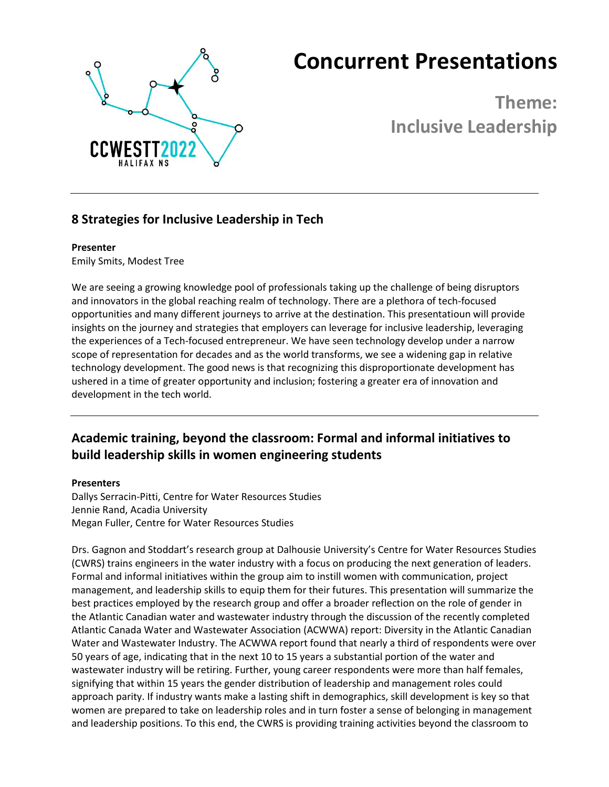

# **Concurrent Presentations**

**Theme: Inclusive Leadership**

# **8 Strategies for Inclusive Leadership in Tech**

#### **Presenter**

Emily Smits, Modest Tree

We are seeing a growing knowledge pool of professionals taking up the challenge of being disruptors and innovators in the global reaching realm of technology. There are a plethora of tech-focused opportunities and many different journeys to arrive at the destination. This presentatioun will provide insights on the journey and strategies that employers can leverage for inclusive leadership, leveraging the experiences of a Tech-focused entrepreneur. We have seen technology develop under a narrow scope of representation for decades and as the world transforms, we see a widening gap in relative technology development. The good news is that recognizing this disproportionate development has ushered in a time of greater opportunity and inclusion; fostering a greater era of innovation and development in the tech world.

# **Academic training, beyond the classroom: Formal and informal initiatives to build leadership skills in women engineering students**

#### **Presenters**

Dallys Serracin-Pitti, Centre for Water Resources Studies Jennie Rand, Acadia University Megan Fuller, Centre for Water Resources Studies

Drs. Gagnon and Stoddart's research group at Dalhousie University's Centre for Water Resources Studies (CWRS) trains engineers in the water industry with a focus on producing the next generation of leaders. Formal and informal initiatives within the group aim to instill women with communication, project management, and leadership skills to equip them for their futures. This presentation will summarize the best practices employed by the research group and offer a broader reflection on the role of gender in the Atlantic Canadian water and wastewater industry through the discussion of the recently completed Atlantic Canada Water and Wastewater Association (ACWWA) report: Diversity in the Atlantic Canadian Water and Wastewater Industry. The ACWWA report found that nearly a third of respondents were over 50 years of age, indicating that in the next 10 to 15 years a substantial portion of the water and wastewater industry will be retiring. Further, young career respondents were more than half females, signifying that within 15 years the gender distribution of leadership and management roles could approach parity. If industry wants make a lasting shift in demographics, skill development is key so that women are prepared to take on leadership roles and in turn foster a sense of belonging in management and leadership positions. To this end, the CWRS is providing training activities beyond the classroom to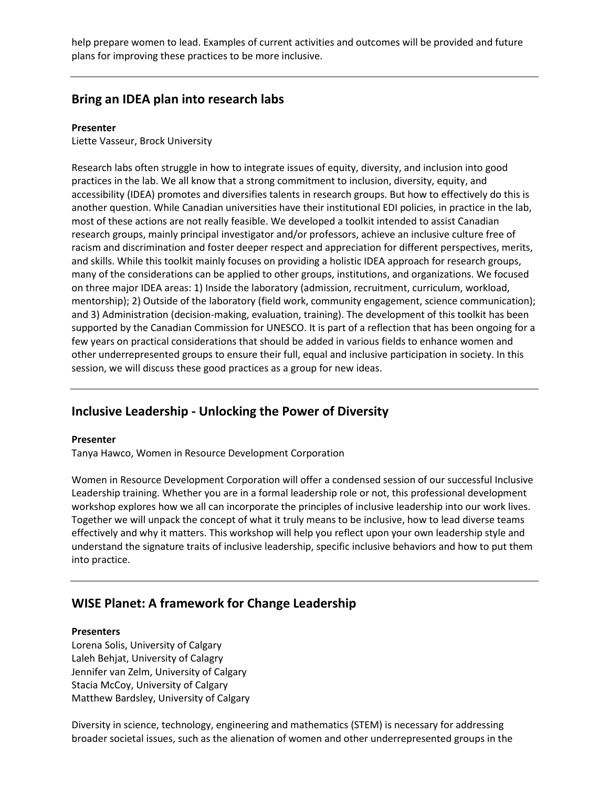help prepare women to lead. Examples of current activities and outcomes will be provided and future plans for improving these practices to be more inclusive.

### **Bring an IDEA plan into research labs**

#### **Presenter**

Liette Vasseur, Brock University

Research labs often struggle in how to integrate issues of equity, diversity, and inclusion into good practices in the lab. We all know that a strong commitment to inclusion, diversity, equity, and accessibility (IDEA) promotes and diversifies talents in research groups. But how to effectively do this is another question. While Canadian universities have their institutional EDI policies, in practice in the lab, most of these actions are not really feasible. We developed a toolkit intended to assist Canadian research groups, mainly principal investigator and/or professors, achieve an inclusive culture free of racism and discrimination and foster deeper respect and appreciation for different perspectives, merits, and skills. While this toolkit mainly focuses on providing a holistic IDEA approach for research groups, many of the considerations can be applied to other groups, institutions, and organizations. We focused on three major IDEA areas: 1) Inside the laboratory (admission, recruitment, curriculum, workload, mentorship); 2) Outside of the laboratory (field work, community engagement, science communication); and 3) Administration (decision-making, evaluation, training). The development of this toolkit has been supported by the Canadian Commission for UNESCO. It is part of a reflection that has been ongoing for a few years on practical considerations that should be added in various fields to enhance women and other underrepresented groups to ensure their full, equal and inclusive participation in society. In this session, we will discuss these good practices as a group for new ideas.

## **Inclusive Leadership - Unlocking the Power of Diversity**

#### **Presenter**

Tanya Hawco, Women in Resource Development Corporation

Women in Resource Development Corporation will offer a condensed session of our successful Inclusive Leadership training. Whether you are in a formal leadership role or not, this professional development workshop explores how we all can incorporate the principles of inclusive leadership into our work lives. Together we will unpack the concept of what it truly means to be inclusive, how to lead diverse teams effectively and why it matters. This workshop will help you reflect upon your own leadership style and understand the signature traits of inclusive leadership, specific inclusive behaviors and how to put them into practice.

## **WISE Planet: A framework for Change Leadership**

#### **Presenters**

Lorena Solis, University of Calgary Laleh Behjat, University of Calagry Jennifer van Zelm, University of Calgary Stacia McCoy, University of Calgary Matthew Bardsley, University of Calgary

Diversity in science, technology, engineering and mathematics (STEM) is necessary for addressing broader societal issues, such as the alienation of women and other underrepresented groups in the